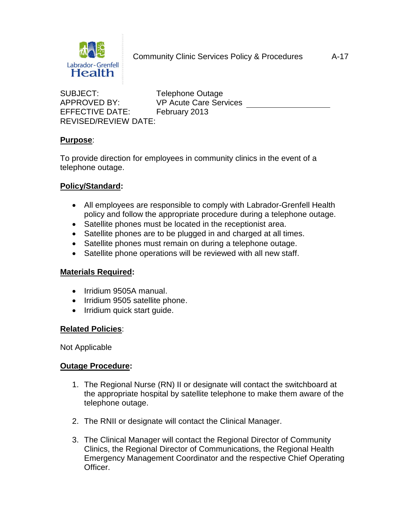

SUBJECT: Telephone Outage EFFECTIVE DATE: February 2013 REVISED/REVIEW DATE:

APPROVED BY: VP Acute Care Services

# **Purpose**:

To provide direction for employees in community clinics in the event of a telephone outage.

## **Policy/Standard:**

- All employees are responsible to comply with Labrador-Grenfell Health policy and follow the appropriate procedure during a telephone outage.
- Satellite phones must be located in the receptionist area.
- Satellite phones are to be plugged in and charged at all times.
- Satellite phones must remain on during a telephone outage.
- Satellite phone operations will be reviewed with all new staff.

### **Materials Required:**

- Irridium 9505A manual.
- Irridium 9505 satellite phone.
- Irridium quick start guide.

### **Related Policies**:

Not Applicable

### **Outage Procedure:**

- 1. The Regional Nurse (RN) II or designate will contact the switchboard at the appropriate hospital by satellite telephone to make them aware of the telephone outage.
- 2. The RNII or designate will contact the Clinical Manager.
- 3. The Clinical Manager will contact the Regional Director of Community Clinics, the Regional Director of Communications, the Regional Health Emergency Management Coordinator and the respective Chief Operating Officer.